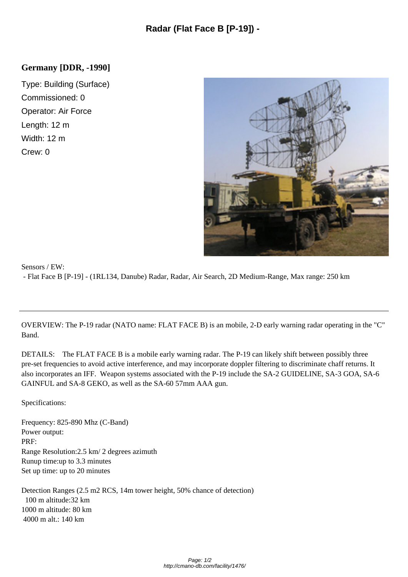## **Germany [DDR, -1990]**

Type: Building (Surface) Commissioned: 0 Operator: Air Force Length: 12 m Width: 12 m Crew: 0



## Sensors / EW: - Flat Face B [P-19] - (1RL134, Danube) Radar, Radar, Air [Search, 2D Medium-Range, Max range: 250 km](http://cmano-db.com/images/DB3000/facility_1476.jpg)

OVERVIEW: The P-19 radar (NATO name: FLAT FACE B) is an mobile, 2-D early warning radar operating in the "C" Band.

DETAILS: The FLAT FACE B is a mobile early warning radar. The P-19 can likely shift between possibly three pre-set frequencies to avoid active interference, and may incorporate doppler filtering to discriminate chaff returns. It also incorporates an IFF. Weapon systems associated with the P-19 include the SA-2 GUIDELINE, SA-3 GOA, SA-6 GAINFUL and SA-8 GEKO, as well as the SA-60 57mm AAA gun.

Specifications:

Frequency: 825-890 Mhz (C-Band) Power output: PRF: Range Resolution: 2.5 km/ 2 degrees azimuth Runup time: up to 3.3 minutes Set up time: up to  $20$  minutes

Detection Ranges (2.5 m2 RCS, 14m tower height, 50% chance of detection) 100 m altitude: 32 km 1000 m altitude: 80 km 4000 m alt.: 140 km